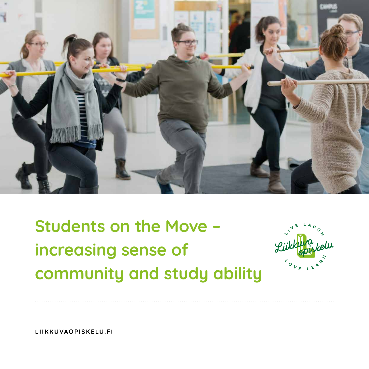

**Students on the Move – increasing sense of community and study ability**



**LIIKKUVAOPISKELU.FI**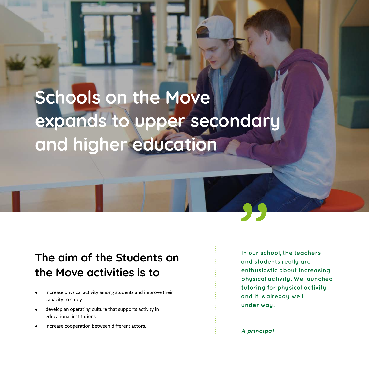## **Schools on the Move expands to upper secondary and higher education**

### **The aim of the Students on the Move activities is to**

- increase physical activity among students and improve their capacity to study
- develop an operating culture that supports activity in educational institutions
- increase cooperation between different actors.

**In our school, the teachers and students really are enthusiastic about increasing physical activity. We launched tutoring for physical activity and it is already well under way.**

**A principal**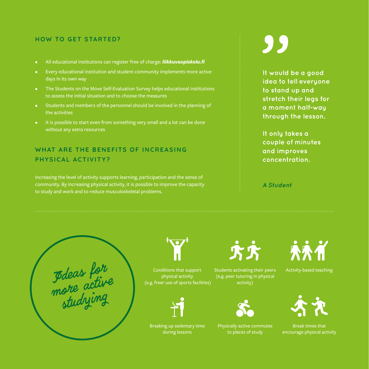#### **HOW TO GET STARTED?**

- All educational institutions can register free of charge: *liikkuvaopiskelu.fi*
- Every educational institution and student community implements more active days in its own way
- The Students on the Move Self-Evaluation Survey helps educational institutions to assess the initial situation and to choose the measures
- Students and members of the personnel should be involved in the planning of the activities
- It is possible to start even from something very small and a lot can be done without any extra resources

### WHAT ARF THE BENFFITS OF INCREASING **PHYSICAL ACTIVITY?**

Increasing the level of activity supports learning, participation and the sense of community. By increasing physical activity, it is possible to improve the capacity to study and work and to reduce musculoskeletal problems.

# 99

**It would be a good idea to tell everyone to stand up and stretch their legs for a moment half-way through the lesson.** 

**It only takes a couple of minutes and improves concentration.**

**A Student**

**J**deas for more active studying



Conditions that support physical activity (e.g. freer use of sports facilities)



Breaking up sedentary time during lessons

**KK** 

Students activating their peers (e.g. peer tutoring in physical activity)



Physically active commutes to places of study



Activity-based teaching



Break times that encourage physical activity